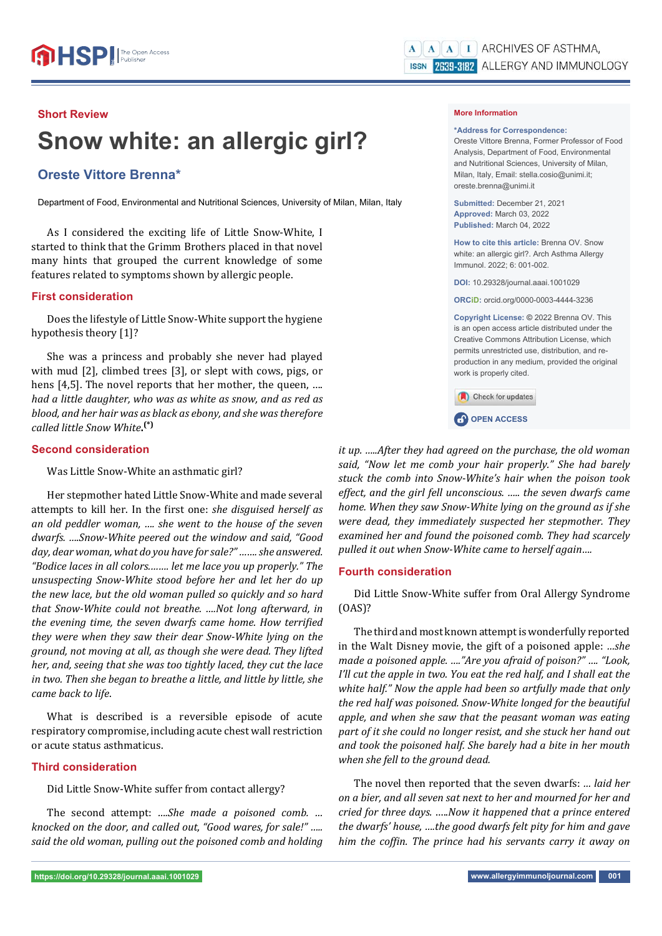# **Short Review**

# **Snow white: an allergic girl?**

# **Oreste Vittore Brenna\***

Department of Food, Environmental and Nutritional Sciences, University of Milan, Milan, Italy

As I considered the exciting life of Little Snow-White, I started to think that the Grimm Brothers placed in that novel many hints that grouped the current knowledge of some features related to symptoms shown by allergic people.

## **First consideration**

Does the lifestyle of Little Snow-White support the hygiene hypothesis theory [1]?

She was a princess and probably she never had played with mud [2], climbed trees [3], or slept with cows, pigs, or hens [4,5]. The novel reports that her mother, the queen, …. *had a little daughter, who was as white as snow, and as red as blood, and her hair was as black as ebony, and she was therefore called little Snow White***. (\*)**

## **Second consideration**

Was Little Snow-White an asthmatic girl?

Her stepmother hated Little Snow-White and made several attempts to kill her. In the ϐirst one: *she disguised herself as an old peddler woman, …. she went to the house of the seven dwarfs. ….Snow-White peered out the window and said, "Good day, dear woman, what do you have for sale?" ……. she answered. "Bodice laces in all colors.……. let me lace you up properly." The unsuspecting Snow-White stood before her and let her do up the new lace, but the old woman pulled so quickly and so hard that Snow-White could not breathe. ….Not long afterward, in the evening time, the seven dwarfs came home. How terrified they were when they saw their dear Snow-White lying on the ground, not moving at all, as though she were dead. They lifted her, and, seeing that she was too tightly laced, they cut the lace in two. Then she began to breathe a little, and little by little, she came back to life*.

What is described is a reversible episode of acute respiratory compromise, including acute chest wall restriction or acute status asthmaticus.

## **Third consideration**

Did Little Snow-White suffer from contact allergy?

The second attempt: *….She made a poisoned comb. … knocked on the door, and called out, "Good wares, for sale!" ….. said the old woman, pulling out the poisoned comb and holding* 

#### **More Information**

#### **\*Address for Correspondence:**

Oreste Vittore Brenna, Former Professor of Food Analysis, Department of Food, Environmental and Nutritional Sciences, University of Milan, Milan, Italy, Email: stella.cosio@unimi.it; oreste.brenna@unimi.it

**Submitted:** December 21, 2021 **Approved:** March 03, 2022 **Published:** March 04, 2022

**How to cite this article:** Brenna OV. Snow white: an allergic girl?. Arch Asthma Allergy Immunol. 2022; 6: 001-002.

**DOI:** 10.29328/journal.aaai.1001029

**ORCiD:** orcid.org/0000-0003-4444-3236

**Copyright License: ©** 2022 Brenna OV. This is an open access article distributed under the Creative Commons Attribution License, which permits unrestricted use, distribution, and reproduction in any medium, provided the original work is properly cited.



*it up. …..After they had agreed on the purchase, the old woman said, "Now let me comb your hair properly." She had barely stuck the comb into Snow-White's hair when the poison took effect, and the girl fell unconscious. ….. the seven dwarfs came home. When they saw Snow-White lying on the ground as if she were dead, they immediately suspected her stepmother. They examined her and found the poisoned comb. They had scarcely pulled it out when Snow-White came to herself again….* 

### **Fourth consideration**

Did Little Snow-White suffer from Oral Allergy Syndrome (OAS)?

The third and most known attempt is wonderfully reported in the Walt Disney movie, the gift of a poisoned apple: *…she made a poisoned apple. …."Are you afraid of poison?" …. "Look, I'll cut the apple in two. You eat the red half, and I shall eat the white half." Now the apple had been so artfully made that only the red half was poisoned. Snow-White longed for the beautiful apple, and when she saw that the peasant woman was eating part of it she could no longer resist, and she stuck her hand out and took the poisoned half. She barely had a bite in her mouth when she fell to the ground dead.*

The novel then reported that the seven dwarfs: *… laid her on a bier, and all seven sat next to her and mourned for her and cried for three days.* …..*Now it happened that a prince entered the dwarfs' house, ….the good dwarfs felt pity for him and gave him the cofϔin. The prince had his servants carry it away on*